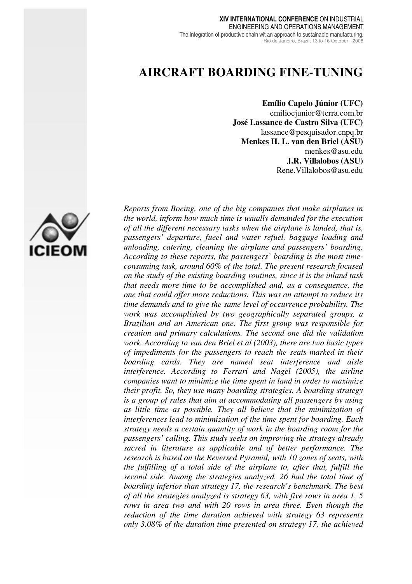#### **XIV INTERNATIONAL CONFERENCE** ON INDUSTRIAL ENGINEERING AND OPERATIONS MANAGEMENT The integration of productive chain wit an approach to sustainable manufacturing. Rio de Janeiro, Brazil, 13 to 16 October - 2008

# **AIRCRAFT BOARDING FINE-TUNING**

**Emílio Capelo Júnior (UFC)**  emiliocjunior@terra.com.br **José Lassance de Castro Silva (UFC)**  lassance@pesquisador.cnpq.br **Menkes H. L. van den Briel (ASU)**  menkes@asu.edu **J.R. Villalobos (ASU)**  Rene.Villalobos@asu.edu



*Reports from Boeing, one of the big companies that make airplanes in the world, inform how much time is usually demanded for the execution of all the different necessary tasks when the airplane is landed, that is, passengers' departure, fueel and water refuel, baggage loading and unloading, catering, cleaning the airplane and passengers' boarding. According to these reports, the passengers' boarding is the most timeconsuming task, around 60% of the total. The present research focused on the study of the existing boarding routines, since it is the inland task that needs more time to be accomplished and, as a consequence, the one that could offer more reductions. This was an attempt to reduce its time demands and to give the same level of occurrence probability. The work was accomplished by two geographically separated groups, a Brazilian and an American one. The first group was responsible for creation and primary calculations. The second one did the validation work. According to van den Briel et al (2003), there are two basic types of impediments for the passengers to reach the seats marked in their boarding cards. They are named seat interference and aisle interference. According to Ferrari and Nagel (2005), the airline companies want to minimize the time spent in land in order to maximize their profit. So, they use many boarding strategies. A boarding strategy is a group of rules that aim at accommodating all passengers by using as little time as possible. They all believe that the minimization of interferences lead to minimization of the time spent for boarding. Each strategy needs a certain quantity of work in the boarding room for the passengers' calling. This study seeks on improving the strategy already sacred in literature as applicable and of better performance. The research is based on the Reversed Pyramid, with 10 zones of seats, with the fulfilling of a total side of the airplane to, after that, fulfill the second side. Among the strategies analyzed, 26 had the total time of boarding inferior than strategy 17, the research's benchmark. The best of all the strategies analyzed is strategy 63, with five rows in area 1, 5 rows in area two and with 20 rows in area three. Even though the reduction of the time duration achieved with strategy 63 represents only 3.08% of the duration time presented on strategy 17, the achieved*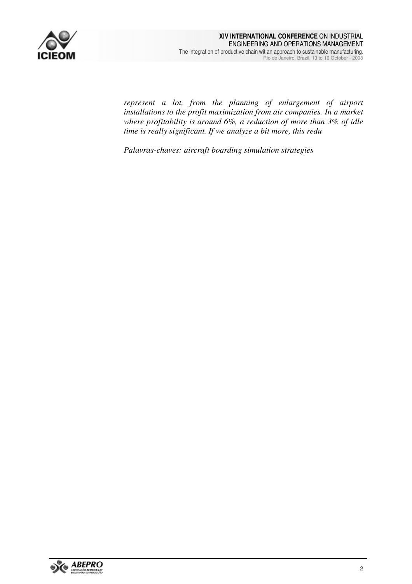

*represent a lot, from the planning of enlargement of airport installations to the profit maximization from air companies. In a market where profitability is around 6%, a reduction of more than 3% of idle time is really significant. If we analyze a bit more, this redu* 

*Palavras-chaves: aircraft boarding simulation strategies* 

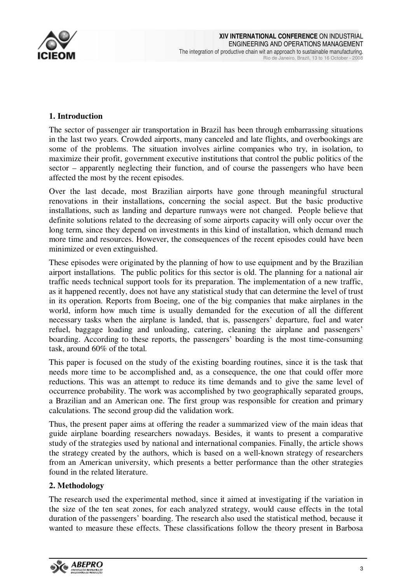

# **1. Introduction**

The sector of passenger air transportation in Brazil has been through embarrassing situations in the last two years. Crowded airports, many canceled and late flights, and overbookings are some of the problems. The situation involves airline companies who try, in isolation, to maximize their profit, government executive institutions that control the public politics of the sector – apparently neglecting their function, and of course the passengers who have been affected the most by the recent episodes.

Over the last decade, most Brazilian airports have gone through meaningful structural renovations in their installations, concerning the social aspect. But the basic productive installations, such as landing and departure runways were not changed. People believe that definite solutions related to the decreasing of some airports capacity will only occur over the long term, since they depend on investments in this kind of installation, which demand much more time and resources. However, the consequences of the recent episodes could have been minimized or even extinguished.

These episodes were originated by the planning of how to use equipment and by the Brazilian airport installations. The public politics for this sector is old. The planning for a national air traffic needs technical support tools for its preparation. The implementation of a new traffic, as it happened recently, does not have any statistical study that can determine the level of trust in its operation. Reports from Boeing, one of the big companies that make airplanes in the world, inform how much time is usually demanded for the execution of all the different necessary tasks when the airplane is landed, that is, passengers' departure, fuel and water refuel, baggage loading and unloading, catering, cleaning the airplane and passengers' boarding. According to these reports, the passengers' boarding is the most time-consuming task, around 60% of the total.

This paper is focused on the study of the existing boarding routines, since it is the task that needs more time to be accomplished and, as a consequence, the one that could offer more reductions. This was an attempt to reduce its time demands and to give the same level of occurrence probability. The work was accomplished by two geographically separated groups, a Brazilian and an American one. The first group was responsible for creation and primary calculations. The second group did the validation work.

Thus, the present paper aims at offering the reader a summarized view of the main ideas that guide airplane boarding researchers nowadays. Besides, it wants to present a comparative study of the strategies used by national and international companies. Finally, the article shows the strategy created by the authors, which is based on a well-known strategy of researchers from an American university, which presents a better performance than the other strategies found in the related literature.

### **2. Methodology**

The research used the experimental method, since it aimed at investigating if the variation in the size of the ten seat zones, for each analyzed strategy, would cause effects in the total duration of the passengers' boarding. The research also used the statistical method, because it wanted to measure these effects. These classifications follow the theory present in Barbosa

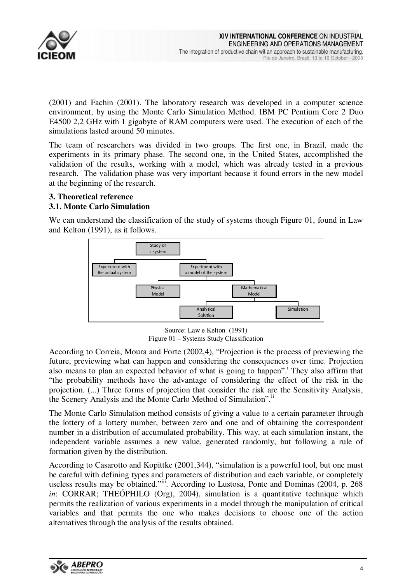

(2001) and Fachin (2001). The laboratory research was developed in a computer science environment, by using the Monte Carlo Simulation Method. IBM PC Pentium Core 2 Duo E4500 2,2 GHz with 1 gigabyte of RAM computers were used. The execution of each of the simulations lasted around 50 minutes.

The team of researchers was divided in two groups. The first one, in Brazil, made the experiments in its primary phase. The second one, in the United States, accomplished the validation of the results, working with a model, which was already tested in a previous research. The validation phase was very important because it found errors in the new model at the beginning of the research.

# **3. Theoretical reference**

# **3.1. Monte Carlo Simulation**

We can understand the classification of the study of systems though Figure 01, found in Law and Kelton (1991), as it follows.



Source: Law e Kelton (1991) Figure 01 – Systems Study Classification

According to Correia, Moura and Forte (2002,4), "Projection is the process of previewing the future, previewing what can happen and considering the consequences over time. Projection also means to plan an expected behavior of what is going to happen".<sup>1</sup> They also affirm that "the probability methods have the advantage of considering the effect of the risk in the projection. (...) Three forms of projection that consider the risk are the Sensitivity Analysis, the Scenery Analysis and the Monte Carlo Method of Simulation".<sup>ii</sup>

The Monte Carlo Simulation method consists of giving a value to a certain parameter through the lottery of a lottery number, between zero and one and of obtaining the correspondent number in a distribution of accumulated probability. This way, at each simulation instant, the independent variable assumes a new value, generated randomly, but following a rule of formation given by the distribution.

According to Casarotto and Kopittke (2001,344), "simulation is a powerful tool, but one must be careful with defining types and parameters of distribution and each variable, or completely useless results may be obtained."iii. According to Lustosa, Ponte and Dominas (2004, p. 268) *in*: CORRAR; THEÓPHILO (Org), 2004), simulation is a quantitative technique which permits the realization of various experiments in a model through the manipulation of critical variables and that permits the one who makes decisions to choose one of the action alternatives through the analysis of the results obtained.

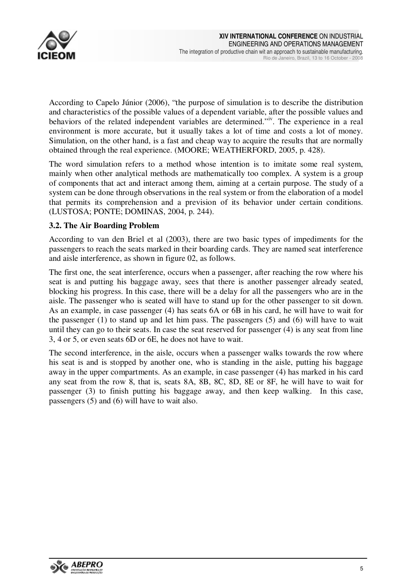

According to Capelo Júnior (2006), "the purpose of simulation is to describe the distribution and characteristics of the possible values of a dependent variable, after the possible values and behaviors of the related independent variables are determined."<sup>iv</sup>. The experience in a real environment is more accurate, but it usually takes a lot of time and costs a lot of money. Simulation, on the other hand, is a fast and cheap way to acquire the results that are normally obtained through the real experience. (MOORE; WEATHERFORD, 2005, p. 428).

The word simulation refers to a method whose intention is to imitate some real system, mainly when other analytical methods are mathematically too complex. A system is a group of components that act and interact among them, aiming at a certain purpose. The study of a system can be done through observations in the real system or from the elaboration of a model that permits its comprehension and a prevision of its behavior under certain conditions. (LUSTOSA; PONTE; DOMINAS, 2004, p. 244).

### **3.2. The Air Boarding Problem**

According to van den Briel et al (2003), there are two basic types of impediments for the passengers to reach the seats marked in their boarding cards. They are named seat interference and aisle interference, as shown in figure 02, as follows.

The first one, the seat interference, occurs when a passenger, after reaching the row where his seat is and putting his baggage away, sees that there is another passenger already seated, blocking his progress. In this case, there will be a delay for all the passengers who are in the aisle. The passenger who is seated will have to stand up for the other passenger to sit down. As an example, in case passenger (4) has seats 6A or 6B in his card, he will have to wait for the passenger (1) to stand up and let him pass. The passengers (5) and (6) will have to wait until they can go to their seats. In case the seat reserved for passenger (4) is any seat from line 3, 4 or 5, or even seats 6D or 6E, he does not have to wait.

The second interference, in the aisle, occurs when a passenger walks towards the row where his seat is and is stopped by another one, who is standing in the aisle, putting his baggage away in the upper compartments. As an example, in case passenger (4) has marked in his card any seat from the row 8, that is, seats 8A, 8B, 8C, 8D, 8E or 8F, he will have to wait for passenger (3) to finish putting his baggage away, and then keep walking. In this case, passengers (5) and (6) will have to wait also.

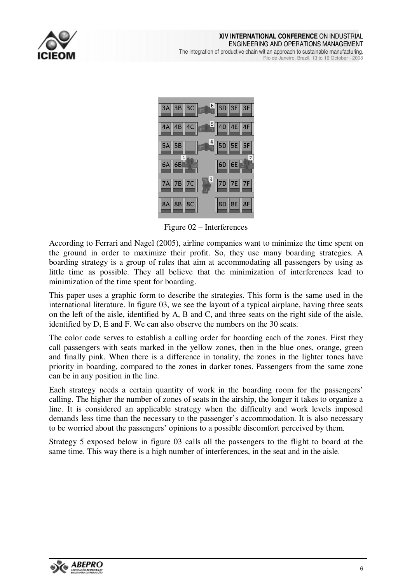

#### **XIV INTERNATIONAL CONFERENCE** ON INDUSTRIAL ENGINEERING AND OPERATIONS MANAGEMENT The integration of productive chain wit an approach to sustainable manufacturing. Rio de Janeiro, Brazil, 13 to 16 October - 2008



Figure 02 – Interferences

According to Ferrari and Nagel (2005), airline companies want to minimize the time spent on the ground in order to maximize their profit. So, they use many boarding strategies. A boarding strategy is a group of rules that aim at accommodating all passengers by using as little time as possible. They all believe that the minimization of interferences lead to minimization of the time spent for boarding.

This paper uses a graphic form to describe the strategies. This form is the same used in the international literature. In figure 03, we see the layout of a typical airplane, having three seats on the left of the aisle, identified by A, B and C, and three seats on the right side of the aisle, identified by D, E and F. We can also observe the numbers on the 30 seats.

The color code serves to establish a calling order for boarding each of the zones. First they call passengers with seats marked in the yellow zones, then in the blue ones, orange, green and finally pink. When there is a difference in tonality, the zones in the lighter tones have priority in boarding, compared to the zones in darker tones. Passengers from the same zone can be in any position in the line.

Each strategy needs a certain quantity of work in the boarding room for the passengers' calling. The higher the number of zones of seats in the airship, the longer it takes to organize a line. It is considered an applicable strategy when the difficulty and work levels imposed demands less time than the necessary to the passenger's accommodation. It is also necessary to be worried about the passengers' opinions to a possible discomfort perceived by them.

Strategy 5 exposed below in figure 03 calls all the passengers to the flight to board at the same time. This way there is a high number of interferences, in the seat and in the aisle.

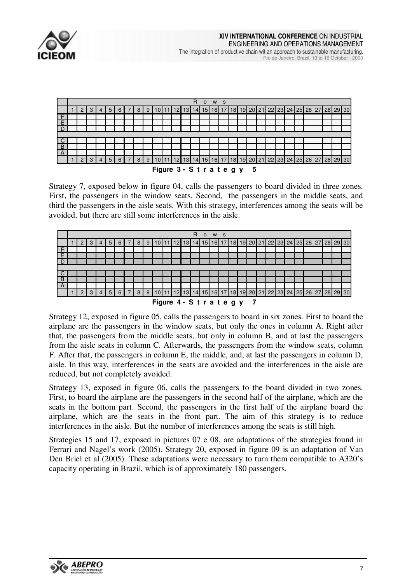



Strategy 7, exposed below in figure 04, calls the passengers to board divided in three zones. First, the passengers in the window seats. Second, the passengers in the middle seats, and third the passengers in the aisle seats. With this strategy, interferences among the seats will be avoided, but there are still some interferences in the aisle.

|                |        |   |                |   |   |   |   |   |        |    |                      | R  | $\Omega$ | W               | - S             |    |    |                 |    |       |    |    |           |    |          |       |  |
|----------------|--------|---|----------------|---|---|---|---|---|--------|----|----------------------|----|----------|-----------------|-----------------|----|----|-----------------|----|-------|----|----|-----------|----|----------|-------|--|
|                | ົ<br>∠ | З | 4              | 5 | 6 |   | 8 | 9 |        | 12 | 13                   | 14 | 5        | 16              | 17              | 18 | 19 | <b>20</b>       | 21 | 22    | 23 | 24 | 25        | 26 | 27 28    | 29 30 |  |
| F              |        |   |                |   |   |   |   |   |        |    |                      |    |          |                 |                 |    |    |                 |    |       |    |    |           |    |          |       |  |
| F              |        |   |                |   |   |   |   |   |        |    |                      |    |          |                 |                 |    |    |                 |    |       |    |    |           |    |          |       |  |
|                |        |   |                |   |   |   |   |   |        |    |                      |    |          |                 |                 |    |    |                 |    |       |    |    |           |    |          |       |  |
|                |        |   |                |   |   |   |   |   |        |    |                      |    |          |                 |                 |    |    |                 |    |       |    |    |           |    |          |       |  |
|                |        |   |                |   |   |   |   |   |        |    |                      |    |          |                 |                 |    |    |                 |    |       |    |    |           |    |          |       |  |
| B              |        |   |                |   |   |   |   |   |        |    |                      |    |          |                 |                 |    |    |                 |    |       |    |    |           |    |          |       |  |
| $\overline{A}$ |        |   |                |   |   |   |   |   |        |    |                      |    |          |                 |                 |    |    |                 |    |       |    |    |           |    |          |       |  |
|                | ာ      | 3 | $\overline{4}$ | 5 | 6 | ⇁ | 8 | 9 |        | 12 | 13                   | 14 | 15       | 16 <sup>1</sup> | 17 <sup>1</sup> | 18 | 19 | 20 <sup>1</sup> | 21 | 22 23 |    |    | $24$   25 |    | 26 27 28 | 29 30 |  |
|                |        |   |                |   |   |   |   |   | $\sim$ |    | $\sim$ $\sim$ $\sim$ |    |          | . .             |                 |    |    | -               |    |       |    |    |           |    |          |       |  |

**Figure 4 - S t r a t e g y 7**

Strategy 12, exposed in figure 05, calls the passengers to board in six zones. First to board the airplane are the passengers in the window seats, but only the ones in column A. Right after that, the passengers from the middle seats, but only in column B, and at last the passengers from the aisle seats in column C. Afterwards, the passengers from the window seats, column F. After that, the passengers in column E, the middle, and, at last the passengers in column D, aisle. In this way, interferences in the seats are avoided and the interferences in the aisle are reduced, but not completely avoided.

Strategy 13, exposed in figure 06, calls the passengers to the board divided in two zones. First, to board the airplane are the passengers in the second half of the airplane, which are the seats in the bottom part. Second, the passengers in the first half of the airplane board the airplane, which are the seats in the front part. The aim of this strategy is to reduce interferences in the aisle. But the number of interferences among the seats is still high.

Strategies 15 and 17, exposed in pictures 07 e 08, are adaptations of the strategies found in Ferrari and Nagel's work (2005). Strategy 20, exposed in figure 09 is an adaptation of Van Den Briel et al (2005). These adaptations were necessary to turn them compatible to A320's capacity operating in Brazil, which is of approximately 180 passengers.

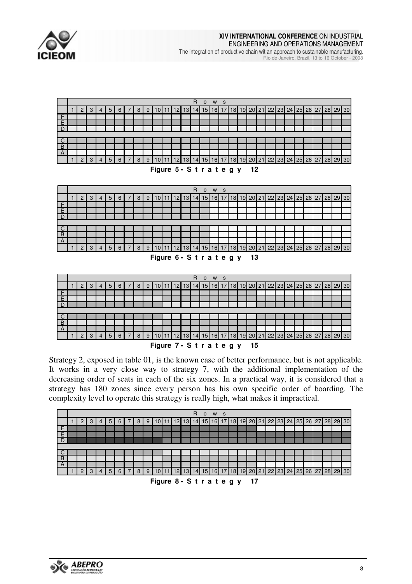

**XIV INTERNATIONAL CONFERENCE** ON INDUSTRIAL ENGINEERING AND OPERATIONS MANAGEMENT

The integration of productive chain wit an approach to sustainable manufacturing.

Rio de Janeiro, Brazil, 13 to 16 October - 2008



Strategy 2, exposed in table 01, is the known case of better performance, but is not applicable. It works in a very close way to strategy 7, with the additional implementation of the decreasing order of seats in each of the six zones. In a practical way, it is considered that a strategy has 180 zones since every person has his own specific order of boarding. The complexity level to operate this strategy is really high, what makes it impractical.



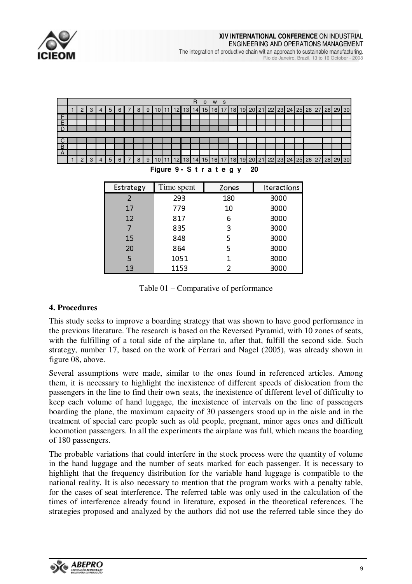



Table 01 – Comparative of performance

# **4. Procedures**

This study seeks to improve a boarding strategy that was shown to have good performance in the previous literature. The research is based on the Reversed Pyramid, with 10 zones of seats, with the fulfilling of a total side of the airplane to, after that, fulfill the second side. Such strategy, number 17, based on the work of Ferrari and Nagel (2005), was already shown in figure 08, above.

Several assumptions were made, similar to the ones found in referenced articles. Among them, it is necessary to highlight the inexistence of different speeds of dislocation from the passengers in the line to find their own seats, the inexistence of different level of difficulty to keep each volume of hand luggage, the inexistence of intervals on the line of passengers boarding the plane, the maximum capacity of 30 passengers stood up in the aisle and in the treatment of special care people such as old people, pregnant, minor ages ones and difficult locomotion passengers. In all the experiments the airplane was full, which means the boarding of 180 passengers.

The probable variations that could interfere in the stock process were the quantity of volume in the hand luggage and the number of seats marked for each passenger. It is necessary to highlight that the frequency distribution for the variable hand luggage is compatible to the national reality. It is also necessary to mention that the program works with a penalty table, for the cases of seat interference. The referred table was only used in the calculation of the times of interference already found in literature, exposed in the theoretical references. The strategies proposed and analyzed by the authors did not use the referred table since they do

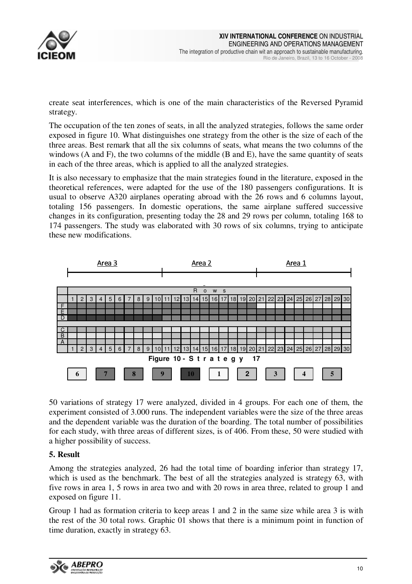

create seat interferences, which is one of the main characteristics of the Reversed Pyramid strategy.

The occupation of the ten zones of seats, in all the analyzed strategies, follows the same order exposed in figure 10. What distinguishes one strategy from the other is the size of each of the three areas. Best remark that all the six columns of seats, what means the two columns of the windows  $(A \text{ and } F)$ , the two columns of the middle  $(B \text{ and } E)$ , have the same quantity of seats in each of the three areas, which is applied to all the analyzed strategies.

It is also necessary to emphasize that the main strategies found in the literature, exposed in the theoretical references, were adapted for the use of the 180 passengers configurations. It is usual to observe A320 airplanes operating abroad with the 26 rows and 6 columns layout, totaling 156 passengers. In domestic operations, the same airplane suffered successive changes in its configuration, presenting today the 28 and 29 rows per column, totaling 168 to 174 passengers. The study was elaborated with 30 rows of six columns, trying to anticipate these new modifications.



50 variations of strategy 17 were analyzed, divided in 4 groups. For each one of them, the experiment consisted of 3.000 runs. The independent variables were the size of the three areas and the dependent variable was the duration of the boarding. The total number of possibilities for each study, with three areas of different sizes, is of 406. From these, 50 were studied with a higher possibility of success.

# **5. Result**

Among the strategies analyzed, 26 had the total time of boarding inferior than strategy 17, which is used as the benchmark. The best of all the strategies analyzed is strategy 63, with five rows in area 1, 5 rows in area two and with 20 rows in area three, related to group 1 and exposed on figure 11.

Group 1 had as formation criteria to keep areas 1 and 2 in the same size while area 3 is with the rest of the 30 total rows. Graphic 01 shows that there is a minimum point in function of time duration, exactly in strategy 63.

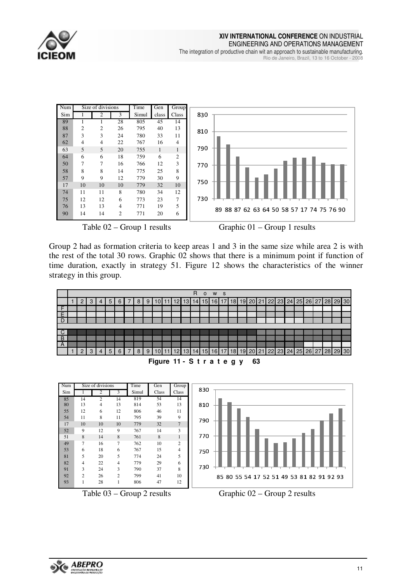

#### **XIV INTERNATIONAL CONFERENCE** ON INDUSTRIAL ENGINEERING AND OPERATIONS MANAGEMENT The integration of productive chain wit an approach to sustainable manufacturing. Rio de Janeiro, Brazil, 13 to 16 October - 2008



Group 2 had as formation criteria to keep areas 1 and 3 in the same size while area 2 is with the rest of the total 30 rows. Graphic 02 shows that there is a minimum point if function of time duration, exactly in strategy 51. Figure 12 shows the characteristics of the winner strategy in this group.



| Figure 11 - Strategy 63 |  |  |  |  |  |  |  |  |  |  |
|-------------------------|--|--|--|--|--|--|--|--|--|--|
|-------------------------|--|--|--|--|--|--|--|--|--|--|



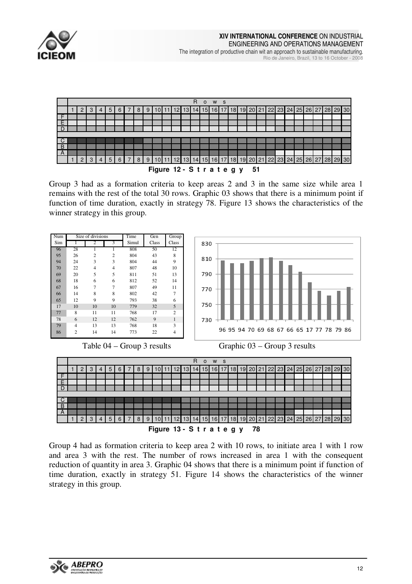



Group 3 had as a formation criteria to keep areas 2 and 3 in the same size while area 1 remains with the rest of the total 30 rows. Graphic 03 shows that there is a minimum point if function of time duration, exactly in strategy 78. Figure 13 shows the characteristics of the winner strategy in this group.



Group 4 had as formation criteria to keep area 2 with 10 rows, to initiate area 1 with 1 row and area 3 with the rest. The number of rows increased in area 1 with the consequent reduction of quantity in area 3. Graphic 04 shows that there is a minimum point if function of time duration, exactly in strategy 51. Figure 14 shows the characteristics of the winner strategy in this group.

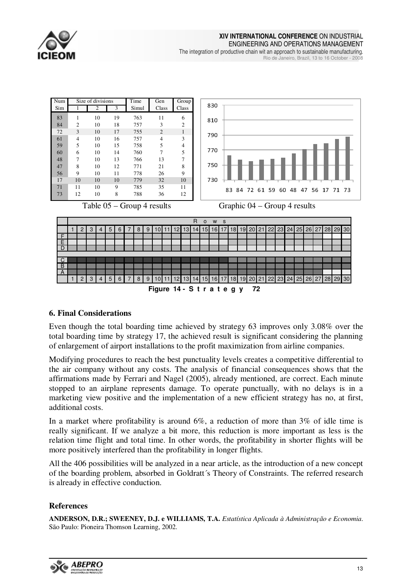

**XIV INTERNATIONAL CONFERENCE** ON INDUSTRIAL

ENGINEERING AND OPERATIONS MANAGEMENT The integration of productive chain wit an approach to sustainable manufacturing.

Rio de Janeiro, Brazil, 13 to 16 October - 2008



### **6. Final Considerations**

Even though the total boarding time achieved by strategy 63 improves only 3.08% over the total boarding time by strategy 17, the achieved result is significant considering the planning of enlargement of airport installations to the profit maximization from airline companies.

Modifying procedures to reach the best punctuality levels creates a competitive differential to the air company without any costs. The analysis of financial consequences shows that the affirmations made by Ferrari and Nagel (2005), already mentioned, are correct. Each minute stopped to an airplane represents damage. To operate punctually, with no delays is in a marketing view positive and the implementation of a new efficient strategy has no, at first, additional costs.

In a market where profitability is around  $6\%$ , a reduction of more than  $3\%$  of idle time is really significant. If we analyze a bit more, this reduction is more important as less is the relation time flight and total time. In other words, the profitability in shorter flights will be more positively interfered than the profitability in longer flights.

All the 406 possibilities will be analyzed in a near article, as the introduction of a new concept of the boarding problem, absorbed in Goldratt´s Theory of Constraints. The referred research is already in effective conduction.

### **References**

**ANDERSON, D.R.; SWEENEY, D.J. e WILLIAMS, T.A.** *Estatística Aplicada à Administração e Economia*. São Paulo: Pioneira Thomson Learning, 2002.